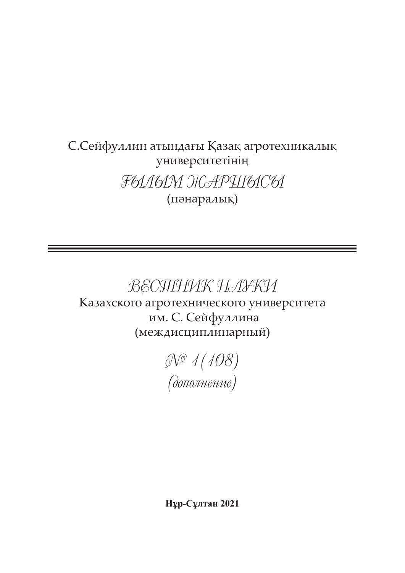## С.Сейфуллин атындағы Қазақ агротехникалық университетінің ҒЫЛЫМ ЖАРШЫСЫ (пәнаралық)

# ВЕСТНИК НАУКИ

Казахского агротехнического университета им. С. Сейфуллина (междисциплинарный)

> № 1(108) (дополнение)

**Нұр-Сұлтан 2021**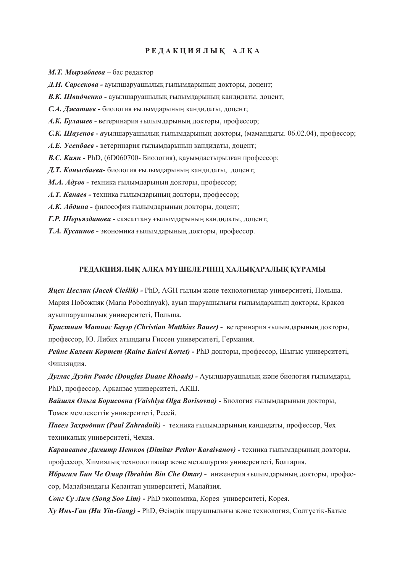#### **Р Е Д А К Ц И Я Л Ы Қ А Л Қ А**

- *М.Т. Мырзабаева –* бас редактор
- *Д.Н. Сарсекова* ауылшаруашылық ғылымдарының докторы, доцент;
- *В.К. Швидченко -* ауылшаруашылық ғылымдарының кандидаты, доцент;
- *С.А. Джатаев -* биология ғылымдарының кандидаты, доцент;
- *А.К. Булашев -* ветеринария ғылымдарының докторы, профессор;
- *С.К. Шауенов а*уылшаруашылық ғылымдарының докторы, (мамандығы. 06.02.04), профессор;
- *А.Е. Усенбаев* ветеринария ғылымдарының кандидаты, доцент;
- *В.С. Киян* РhD, (6D060700- Биология), қауымдастырылған профессор;
- *Д.Т. Конысбаева-* биология ғылымдарының кандидаты, доцент;
- *М.А. Адуов* техника ғылымдарының докторы, профессор;
- *А.Т. Канаев* техника ғылымдарының докторы, профессор;
- *А.К. Абдина* философия ғылымдарының докторы, доцент;
- *Г.Р. Шерьязданова -* саясаттану ғылымдарының кандидаты, доцент;
- *Т.А. Кусаинов* экономика ғылымдарының докторы, профессор.

#### **РЕДАКЦИЯЛЫҚ АЛҚА МҮШЕЛЕРІНІҢ ХАЛЫҚАРАЛЫҚ ҚҰРАМЫ**

*Яцек Цеслик (Jacek Cieślik) -* PhD, AGH ғылым және технологиялар университеті, Польша. Мария Побожняк (Maria Pobozhnyak), ауыл шаруашылығы ғылымдарының докторы, Краков ауылшаруашылық университеті, Польша.

*Кристиан Матиас Бауэр (Christian Matthias Bauer) -* ветеринария ғылымдарының докторы, профессор, Ю. Либих атындағы Гиссен университеті, Германия.

*Рейне Калеви Кортет (Raine Kalevi Kortet) -* PhD докторы, профессор, Шығыс университеті, Финляндия.

*Дуглас Дуэйн Роадс (Douglas Duane Rhoads) -* Ауылшаруашылық және биология ғылымдары, PhD, профессор, Арканзас университеті, АҚШ.

*Вайшля Ольга Борисовна (Vaishlya Olga Borisovna) -* Биология ғылымдарының докторы, Томск мемлекеттік университеті, Ресей.

*Павел Захродник (Paul Zahradnik) -* техника ғылымдарының кандидаты, профессор, Чех техникалық университеті, Чехия.

*Караиванов Димитр Петков (Dimitar Petkov Karaivanov) -* техника ғылымдарының докторы, профессор, Химиялық технологиялар және металлургия университеті, Болгария.

*Ибрагим Бин Че Омар (Ibrahim Bin Che Omar) -* инженерия ғылымдарының докторы, профессор, Малайзиядағы Келантан университеті, Малайзия.

*Сонг Су Лим (Song Soo Lim) -* PhD экономика, Корея университеті, Корея.

*Ху Инь-Ган (Hu Yin-Gang) -* PhD, Өсімдік шаруашылығы және технология, Солтүстік-Батыс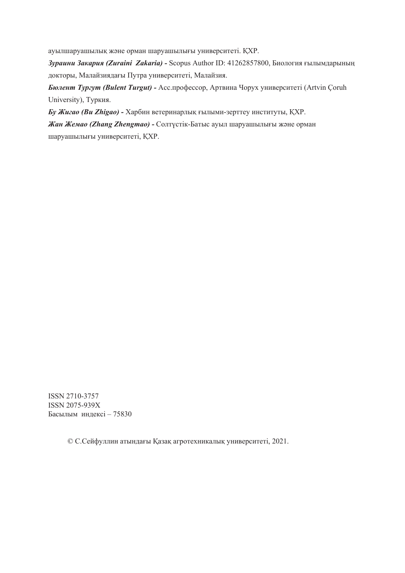ауылшаруашылық және орман шаруашылығы университеті. ҚХР.

*Зураини Закария (Zuraini Zakaria) -* Scopus Author ID: 41262857800, Биология ғылымдарының докторы, Малайзиядағы Путра университеті, Малайзия.

*Бюлент Тургут (Bulent Turgut) -* Асс.профессор, Артвина Чорух университеті (Artvin Çoruh University), Туркия.

*Бу Жигао (Bu Zhigao) -* Харбин ветеринарлық ғылыми-зерттеу институты, ҚХР.

*Жан Жемао (Zhang Zhengmao) -* Солтүстік-Батыс ауыл шаруашылығы және орман шаруашылығы университеті, ҚХР.

ISSN 2710-3757 ISSN 2075-939Х Басылым индексі – 75830

© С.Сейфуллин атындағы Қазақ агротехникалық университеті, 2021.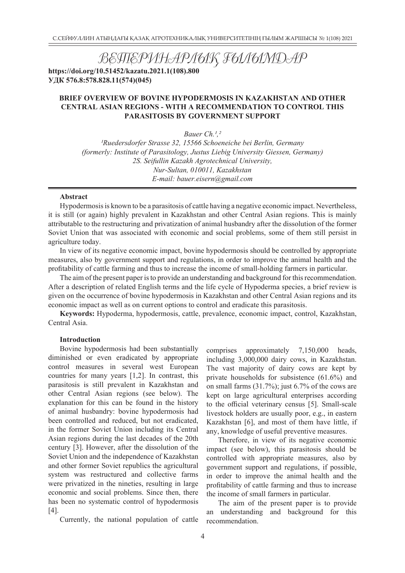ВЕТЕРИНАРЛЫҚ ҒЫЛЫМДАР

**https://doi.org/10.51452/kazatu.2021.1(108).800 УДК 576.8:578.828.11(574)(045)**

#### **BRIEF OVERVIEW OF BOVINE HYPODERMOSIS IN KAZAKHSTAN AND OTHER CENTRAL ASIAN REGIONS - WITH A RECOMMENDATION TO CONTROL THIS PARASITOSIS BY GOVERNMENT SUPPORT**

*Bauer Ch.1,2*

*1Ruedersdorfer Strasse 32, 15566 Schoeneiche bei Berlin, Germany (formerly: Institute of Parasitology, Justus Liebig University Giessen, Germany) 2S. Seifullin Kazakh Agrotechnical University, Nur-Sultan, 010011, Kazakhstan E-mail: bauer.eisern@gmail.com*

#### **Abstract**

Hypodermosis is known to be a parasitosis of cattle having a negative economic impact. Nevertheless, it is still (or again) highly prevalent in Kazakhstan and other Central Asian regions. This is mainly attributable to the restructuring and privatization of animal husbandry after the dissolution of the former Soviet Union that was associated with economic and social problems, some of them still persist in agriculture today.

In view of its negative economic impact, bovine hypodermosis should be controlled by appropriate measures, also by government support and regulations, in order to improve the animal health and the profitability of cattle farming and thus to increase the income of small-holding farmers in particular.

The aim of the present paper is to provide an understanding and background for this recommendation. After a description of related English terms and the life cycle of Hypoderma species, a brief review is given on the occurrence of bovine hypodermosis in Kazakhstan and other Central Asian regions and its economic impact as well as on current options to control and eradicate this parasitosis.

**Keywords:** Hypoderma, hypodermosis, cattle, prevalence, economic impact, control, Kazakhstan, Central Asia.

#### **Introduction**

Bovine hypodermosis had been substantially diminished or even eradicated by appropriate control measures in several west European countries for many years [1,2]. In contrast, this parasitosis is still prevalent in Kazakhstan and other Central Asian regions (see below). The explanation for this can be found in the history of animal husbandry: bovine hypodermosis had been controlled and reduced, but not eradicated, in the former Soviet Union including its Central Asian regions during the last decades of the 20th century [3]. However, after the dissolution of the Soviet Union and the independence of Kazakhstan and other former Soviet republics the agricultural system was restructured and collective farms were privatized in the nineties, resulting in large economic and social problems. Since then, there has been no systematic control of hypodermosis [4].

Currently, the national population of cattle

comprises approximately 7,150,000 heads, including 3,000,000 dairy cows, in Kazakhstan. The vast majority of dairy cows are kept by private households for subsistence (61.6%) and on small farms (31.7%); just 6.7% of the cows are kept on large agricultural enterprises according to the official veterinary census [5]. Small-scale livestock holders are usually poor, e.g., in eastern Kazakhstan [6], and most of them have little, if any, knowledge of useful preventive measures.

Therefore, in view of its negative economic impact (see below), this parasitosis should be controlled with appropriate measures, also by government support and regulations, if possible, in order to improve the animal health and the profitability of cattle farming and thus to increase the income of small farmers in particular.

The aim of the present paper is to provide an understanding and background for this recommendation.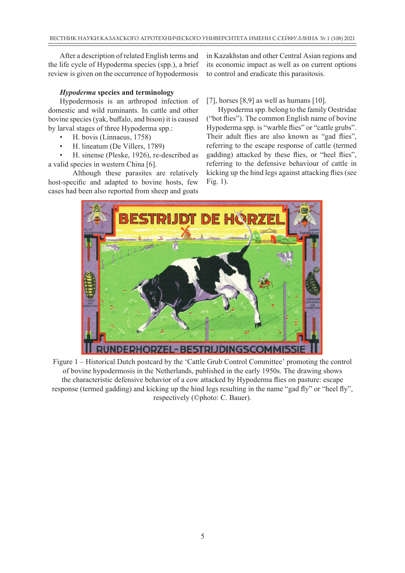After a description of related English terms and the life cycle of Hypoderma species (spp.), a brief review is given on the occurrence of hypodermosis

#### *Hypoderma* **species and terminology**

Hypodermosis is an arthropod infection of domestic and wild ruminants. In cattle and other bovine species (yak, buffalo, and bison) it is caused by larval stages of three Hypoderma spp.:

- H. bovis (Linnaeus, 1758)
- H. lineatum (De Villers, 1789)

• H. sinense (Pleske, 1926), re-described as a valid species in western China [6].

Although these parasites are relatively host-specific and adapted to bovine hosts, few cases had been also reported from sheep and goats

in Kazakhstan and other Central Asian regions and its economic impact as well as on current options to control and eradicate this parasitosis.

[7], horses  $[8,9]$  as well as humans  $[10]$ .

Hypoderma spp. belong to the family Oestridae ("bot flies"). The common English name of bovine Hypoderma spp. is "warble flies" or "cattle grubs". Their adult flies are also known as "gad flies", referring to the escape response of cattle (termed gadding) attacked by these flies, or "heel flies", referring to the defensive behaviour of cattle in kicking up the hind legs against attacking flies (see Fig. 1).



Figure 1 – Historical Dutch postcard by the 'Cattle Grub Control Committee' promoting the control of bovine hypodermosis in the Netherlands, published in the early 1950s. The drawing shows the characteristic defensive behavior of a cow attacked by Hypoderma flies on pasture: escape response (termed gadding) and kicking up the hind legs resulting in the name "gad fly" or "heel fly", respectively (©photo: C. Bauer).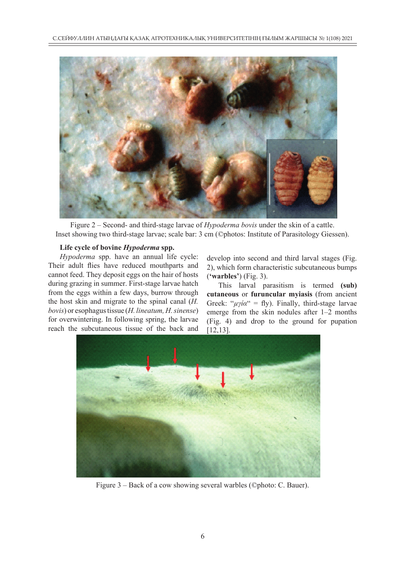

Figure 2 – Second- and third-stage larvae of *Hypoderma bovis* under the skin of a cattle. Inset showing two third-stage larvae; scale bar: 3 cm (©photos: Institute of Parasitology Giessen).

#### **Life cycle of bovine** *Hypoderma* **spp.**

*Hypoderma* spp. have an annual life cycle: Their adult flies have reduced mouthparts and cannot feed. They deposit eggs on the hair of hosts during grazing in summer. First-stage larvae hatch from the eggs within a few days, burrow through the host skin and migrate to the spinal canal (*H. bovis*) or esophagus tissue (*H. lineatum, H. sinense*) for overwintering. In following spring, the larvae reach the subcutaneous tissue of the back and

develop into second and third larval stages (Fig. 2), which form characteristic subcutaneous bumps (**'warbles'**) (Fig. 3).

This larval parasitism is termed **(sub) cutaneous** or **furuncular myiasis** (from ancient Greek: " $\mu\gamma i\alpha$ " = fly). Finally, third-stage larvae emerge from the skin nodules after 1–2 months (Fig. 4) and drop to the ground for pupation [12,13].



Figure 3 – Back of a cow showing several warbles (©photo: C. Bauer).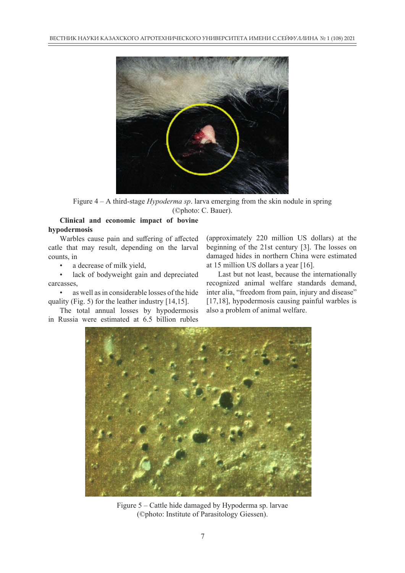

Figure 4 – A third-stage *Hypoderma sp*. larva emerging from the skin nodule in spring (©photo: C. Bauer).

#### **Clinical and economic impact of bovine hypodermosis**

Warbles cause pain and suffering of affected catle that may result, depending on the larval counts, in

a decrease of milk yield,

lack of bodyweight gain and depreciated carcasses,

• as well as in considerable losses of the hide quality (Fig. 5) for the leather industry [14,15].

The total annual losses by hypodermosis in Russia were estimated at 6.5 billion rubles

(approximately 220 million US dollars) at the beginning of the 21st century [3]. The losses on damaged hides in northern China were estimated at 15 million US dollars a year [16].

Last but not least, because the internationally recognized animal welfare standards demand, inter alia, "freedom from pain, injury and disease" [17,18], hypodermosis causing painful warbles is also a problem of animal welfare.



Figure 5 – Cattle hide damaged by Hypoderma sp. larvae (©photo: Institute of Parasitology Giessen).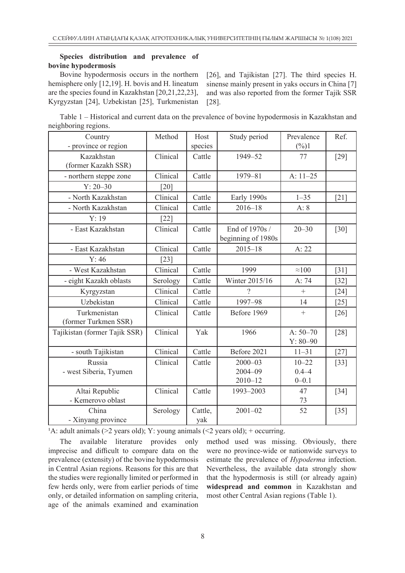#### **Species distribution and prevalence of bovine hypodermosis**

Bovine hypodermosis occurs in the northern hemisphere only [12,19]. H. bovis and H. lineatum are the species found in Kazakhstan [20,21,22,23], Kyrgyzstan [24], Uzbekistan [25], Turkmenistan

[26], and Tajikistan [27]. The third species H. sinense mainly present in yaks occurs in China [7] and was also reported from the former Tajik SSR [28].

Table 1 – Historical and current data on the prevalence of bovine hypodermosis in Kazakhstan and neighboring regions.

| Country<br>- province or region      | Method             | Host<br>species | Study period                              | Prevalence<br>$(\%)1$               | Ref.   |
|--------------------------------------|--------------------|-----------------|-------------------------------------------|-------------------------------------|--------|
| Kazakhstan<br>(former Kazakh SSR)    | Clinical           | Cattle          | 1949-52                                   | 77                                  | $[29]$ |
| - northern steppe zone               | Clinical           | Cattle          | 1979-81                                   | A: $11-25$                          |        |
| $Y: 20 - 30$                         | [20]               |                 |                                           |                                     |        |
| - North Kazakhstan                   | Clinical           | Cattle          | Early 1990s                               | $1 - 35$                            | $[21]$ |
| - North Kazakhstan                   | Clinical           | Cattle          | $2016 - 18$                               | A: 8                                |        |
| Y: 19                                | $\lceil 22 \rceil$ |                 |                                           |                                     |        |
| - East Kazakhstan                    | Clinical           | Cattle          | End of 1970s /<br>beginning of 1980s      | $20 - 30$                           | $[30]$ |
| - East Kazakhstan                    | Clinical           | Cattle          | $2015 - 18$                               | A: 22                               |        |
| Y: 46                                | $[23]$             |                 |                                           |                                     |        |
| - West Kazakhstan                    | Clinical           | Cattle          | 1999                                      | $\approx 100$                       | $[31]$ |
| - eight Kazakh oblasts               | Serology           | Cattle          | Winter 2015/16                            | A: 74                               | $[32]$ |
| Kyrgyzstan                           | Clinical           | Cattle          | $\gamma$                                  | $+$                                 | $[24]$ |
| Uzbekistan                           | Clinical           | Cattle          | 1997-98                                   | 14                                  | $[25]$ |
| Turkmenistan<br>(former Turkmen SSR) | Clinical           | Cattle          | Before 1969                               | $^{+}$                              | $[26]$ |
| Tajikistan (former Tajik SSR)        | Clinical           | Yak             | 1966                                      | A: $50 - 70$<br>$Y: 80 - 90$        | $[28]$ |
| - south Tajikistan                   | Clinical           | Cattle          | Before 2021                               | $11 - 31$                           | $[27]$ |
| Russia<br>- west Siberia, Tyumen     | Clinical           | Cattle          | $2000 - 03$<br>$2004 - 09$<br>$2010 - 12$ | $10 - 22$<br>$0.4 - 4$<br>$0 - 0.1$ | $[33]$ |
| Altai Republic<br>- Kemerovo oblast  | Clinical           | Cattle          | 1993-2003                                 | 47<br>73                            | $[34]$ |
| China<br>- Xinyang province          | Serology           | Cattle,<br>yak  | $2001 - 02$                               | 52                                  | $[35]$ |

<sup>1</sup>A: adult animals ( $>2$  years old); Y: young animals ( $\leq$  years old); + occurring.

The available literature provides only imprecise and difficult to compare data on the prevalence (extensity) of the bovine hypodermosis in Central Asian regions. Reasons for this are that the studies were regionally limited or performed in few herds only, were from earlier periods of time only, or detailed information on sampling criteria, age of the animals examined and examination method used was missing. Obviously, there were no province-wide or nationwide surveys to estimate the prevalence of *Hypoderma* infection. Nevertheless, the available data strongly show that the hypodermosis is still (or already again) **widespread and common** in Kazakhstan and most other Central Asian regions (Table 1).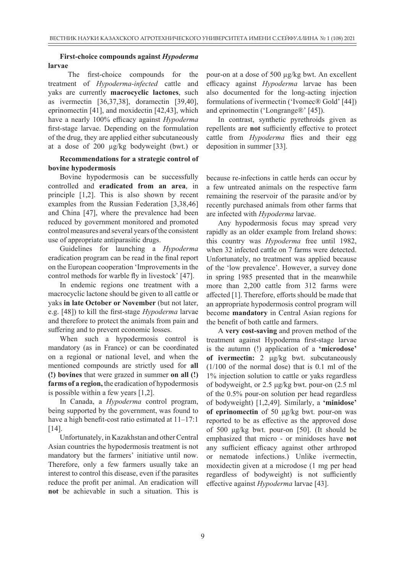#### **First-choice compounds against** *Hypoderma*  **larvae**

 The first-choice compounds for the treatment of *Hypoderma-infected* cattle and yaks are currently **macrocyclic lactones**, such as ivermectin [36,37,38], doramectin [39,40], eprinomectin [41], and moxidectin [42,43], which have a nearly 100% efficacy against *Hypoderma*  first-stage larvae. Depending on the formulation of the drug, they are applied either subcutaneously at a dose of 200 µg/kg bodyweight (bwt.) or

#### **Recommendations for a strategic control of bovine hypodermosis**

Bovine hypodermosis can be successfully controlled and **eradicated from an area**, in principle [1,2]. This is also shown by recent examples from the Russian Federation [3,38,46] and China [47], where the prevalence had been reduced by government monitored and promoted control measures and several years of the consistent use of appropriate antiparasitic drugs.

Guidelines for launching a *Hypoderma*  eradication program can be read in the final report on the European cooperation 'Improvements in the control methods for warble fly in livestock' [47].

In endemic regions one treatment with a macrocyclic lactone should be given to all cattle or yaks **in late October or November** (but not later, e.g. [48]) to kill the first-stage *Hypoderma* larvae and therefore to protect the animals from pain and suffering and to prevent economic losses.

When such a hypodermosis control is mandatory (as in France) or can be coordinated on a regional or national level, and when the mentioned compounds are strictly used for **all (!) bovines** that were grazed in summer **on all (!) farms of a region,** the eradication of hypodermosis is possible within a few years [1,2].

In Canada, a *Hypoderma* control program, being supported by the government, was found to have a high benefit-cost ratio estimated at  $11-17:1$ [14].

Unfortunately, in Kazakhstan and other Central Asian countries the hypodermosis treatment is not mandatory but the farmers' initiative until now. Therefore, only a few farmers usually take an interest to control this disease, even if the parasites reduce the profit per animal. An eradication will **not** be achievable in such a situation. This is

pour-on at a dose of 500 µg/kg bwt. An excellent efficacy against *Hypoderma* larvae has been also documented for the long-acting injection formulations of ivermectin ('Ivomec® Gold' [44]) and eprinomectin ('Longrange®' [45]).

In contrast, synthetic pyrethroids given as repellents are **not** sufficiently effective to protect cattle from *Hypoderma* flies and their egg deposition in summer [33].

because re-infections in cattle herds can occur by a few untreated animals on the respective farm remaining the reservoir of the parasite and/or by recently purchased animals from other farms that are infected with *Hypoderma* larvae.

Any hypodermosis focus may spread very rapidly as an older example from Ireland shows: this country was *Hypoderma* free until 1982, when 32 infected cattle on 7 farms were detected. Unfortunately, no treatment was applied because of the 'low prevalence'. However, a survey done in spring 1985 presented that in the meanwhile more than 2,200 cattle from 312 farms were affected [1]. Therefore, efforts should be made that an appropriate hypodermosis control program will become **mandatory** in Central Asian regions for the benefit of both cattle and farmers.

A **very cost-saving** and proven method of the treatment against Hypoderma first-stage larvae is the autumn (!) application of a **'microdose' of ivermectin:** 2 μg/kg bwt. subcutaneously (1/100 of the normal dose) that is 0.1 ml of the 1% injection solution to cattle or yaks regardless of bodyweight, or 2.5 μg/kg bwt. pour-on (2.5 ml of the 0.5% pour-on solution per head regardless of bodyweight) [1,2,49]. Similarly, a **'minidose' of eprinomectin** of 50 μg/kg bwt. pour-on was reported to be as effective as the approved dose of 500 μg/kg bwt. pour-on [50]. (It should be emphasized that micro - or minidoses have **not**  any sufficient efficacy against other arthropod or nematode infections.) Unlike ivermectin, moxidectin given at a microdose (1 mg per head regardless of bodyweight) is not sufficiently effective against *Hypoderma* larvae [43].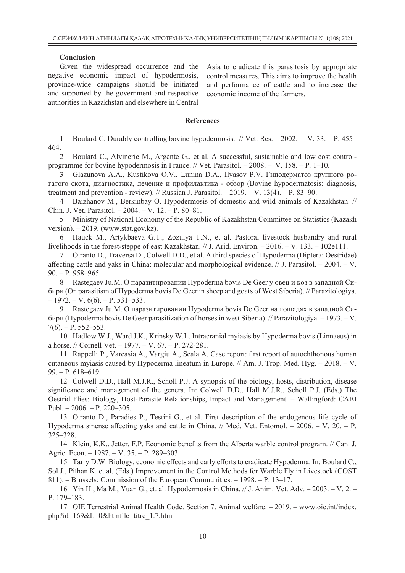#### **Conclusion**

Given the widespread occurrence and the negative economic impact of hypodermosis, province-wide campaigns should be initiated and supported by the government and respective authorities in Kazakhstan and elsewhere in Central

Asia to eradicate this parasitosis by appropriate control measures. This aims to improve the health and performance of cattle and to increase the economic income of the farmers.

#### **References**

1 Boulard C. Durably controlling bovine hypodermosis. // Vet. Res. – 2002. – V. 33. – P. 455– 464.

Boulard C., Alvinerie M., Argente G., et al. A successful, sustainable and low cost controlprogramme for bovine hypodermosis in France. // Vet. Parasitol. – 2008. – V. 158. – P. 1–10.

3 Glazunova A.A., Kustikova O.V., Lunina D.A., Ilyasov P.V. Гиподерматоз крупного рогатого скота, диагностика, лечение и профилактика - обзор (Bovine hypodermatosis: diagnosis, treatment and prevention - review). // Russian J. Parasitol.  $-2019$ .  $- V. 13(4)$ .  $- P. 83-90$ .

4 Baizhanov M., Berkinbay O. Hypodermosis of domestic and wild animals of Kazakhstan. // Chin. J. Vet. Parasitol. – 2004. – V. 12. – P. 80–81.

5 Ministry of National Economy of the Republic of Kazakhstan Committee on Statistics (Kazakh version).  $-2019$ . (www.stat.gov.kz).

6 Hauck M., Artykbaeva G.T., Zozulya T.N., et al. Pastoral livestock husbandry and rural livelihoods in the forest-steppe of east Kazakhstan. // J. Arid. Environ. – 2016. – V. 133. – 102e111.

7 Otranto D., Traversa D., Colwell D.D., et al. A third species of Hypoderma (Diptera: Oestridae) affecting cattle and yaks in China: molecular and morphological evidence. // J. Parasitol. – 2004. – V.  $90. - P. 958 - 965.$ 

8 Rastegaev Ju.M. O паразитировании Hypoderma bоvis De Geer у овец и коз в западной Сибири (On parasitism of Hypoderma bovis De Geer in sheep and goats of West Siberia). // Parazitologiya.  $-1972. - V. 6(6)$ .  $- P. 531-533.$ 

9 Rastegaev Ju.M. O паразитировании Hypoderma bоvis De Geer на лошадях в западной Сибири (Hypoderma bovis De Geer parasitization of horses in west Siberia). // Parazitologiya. – 1973. – V.  $7(6)$ . – P. 552–553.

10 Hadlow W.J., Ward J.K., Krinsky W.L. Intracranial myiasis by Hypoderma bovis (Linnaeus) in a horse. // Cornell Vet. – 1977. – V. 67. – P. 272-281.

11 Rappelli P., Varcasia A., Vargiu A., Scala A. Case report: first report of autochthonous human cutaneous myiasis caused by Hypoderma lineatum in Europe.  $//$  Am. J. Trop. Med. Hyg.  $-2018$ .  $-V$ . 99. – P. 618–619.

12 Colwell D.D., Hall M.J.R., Scholl P.J. A synopsis of the biology, hosts, distribution, disease significance and management of the genera. In: Colwell D.D., Hall M.J.R., Scholl P.J. (Eds.) The Oestrid Flies: Biology, Host-Parasite Relationships, Impact and Management. – Wallingford: CABI Publ. – 2006. – P. 220–305.

13 Otranto D., Paradies P., Testini G., et al. First description of the endogenous life cycle of Hypoderma sinense affecting yaks and cattle in China.  $//$  Med. Vet. Entomol.  $- 2006. - V. 20. - P.$ 325–328.

14 Klein, K.K., Jetter, F.P. Economic benefits from the Alberta warble control program. // Can. J. Agric. Econ. – 1987. – V. 35. – P. 289–303.

15 Tarry D.W. Biology, economic effects and early efforts to eradicate Hypoderma. In: Boulard C., Sol J., Pithan K. et al. (Eds.) Improvement in the Control Methods for Warble Fly in Livestock (COST 811). – Brussels: Commission of the European Communities. – 1998. – P. 13–17.

16 Yin H., Ma M., Yuan G., et. al. Hypodermosis in China. // J. Anim. Vet. Adv. – 2003. – V. 2. – P. 179–183.

17 OIE Terrestrial Animal Health Code. Section 7. Animal welfare. – 2019. – www.oie.int/index. php?id=169&L=0&htmfile=titre\_1.7.htm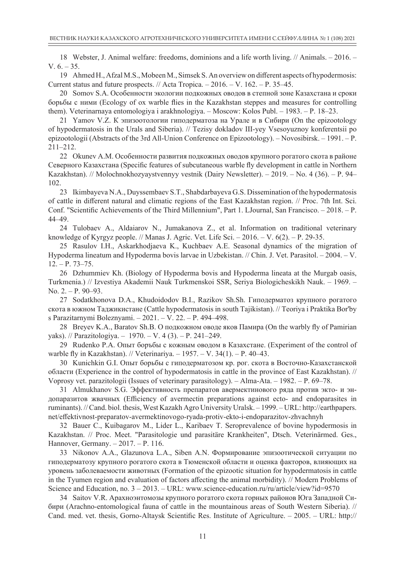18 Webster, J. Animal welfare: freedoms, dominions and a life worth living. // Animals. – 2016. – V.  $6. - 35$ .

19 Ahmed H., Afzal M.S., Mobeen M., Simsek S. An overview on different aspects of hypodermosis: Current status and future prospects. // Acta Tropica. – 2016. – V. 162. – P. 35–45.

20 Somov S.A. Особенности экологии подкожных оводов в степной зоне Казахстана и сроки борьбы с ними (Ecology of ox warble flies in the Kazakhstan steppes and measures for controlling them). Veterinarnaya entomologiya i arakhnologiya. – Moscow: Kolos Publ. – 1983. – P. 18–23.

21 Yamov V.Z. К эпизоотологии гиподерматоза на Урале и в Сибири (On the epizootology of hypodermatosis in the Urals and Siberia). // Tezisy dokladov III-yey Vsesoyuznoy konferentsii po epizootologii (Abstracts of the 3rd All-Union Conference on Epizootology). – Novosibirsk. – 1991. – P. 211–212.

22 Okunev A.M. Особенности развития подкожных оводов крупного рогатого скота в районе Северного Казахстана (Specific features of subcutaneous warble fly development in cattle in Northern Kazakhstan). // Molochnokhozyaystvennyy vestnik (Dairy Newsletter). – 2019. – No. 4 (36). – P. 94– 102.

23 Ikimbayeva N.A., Duyssembaev S.T., Shabdarbayeva G.S. Dissemination of the hypodermatosis of cattle in different natural and climatic regions of the East Kazakhstan region. // Proc. 7th Int. Sci. Conf. "Scientific Achievements of the Third Millennium", Part 1. LJournal, San Francisco. – 2018. – P. 44–49.

24 Tulobaev A., Aldaiarov N., Jumakanova Z., et al. Information on traditional veterinary knowledge of Kyrgyz people. // Manas J. Agric. Vet. Life Sci.  $-2016$ .  $- V$ . 6(2).  $- P$ . 29-35.

25 Rasulov I.H., Askarkhodjaeva K., Kuchbaev A.E. Seasonal dynamics of the migration of Hypoderma lineatum and Hypoderma bovis larvae in Uzbekistan. // Chin. J. Vet. Parasitol. – 2004. – V. 12. – P. 73–75.

26 Dzhummiev Kh. (Biology of Hypoderma bovis and Hypoderma lineata at the Murgab oasis, Turkmenia.) // Izvestiya Akademii Nauk Turkmenskoi SSR, Seriya Biologicheskikh Nauk. – 1969. – No. 2. – P. 90–93.

27 Sodatkhonova D.A., Khudoidodov B.I., Razikov Sh.Sh. Гиподерматоз крупного рогатого скота в южном Tаджикистане (Cattle hypodermatosis in south Tajikistan). // Teoriya i Praktika Bor'by s Parazitarnymi Boleznyami. – 2021. – V. 22. – P. 494–498.

28 Breyev K.A., Baratov Sh.B. О подкожном оводе яков Памира (On the warbly fly of Pamirian yaks). // Parazitologiya. – 1970. – V. 4 (3). – P. 241–249.

29 Rudenko P.A. Опыт боръбы с кожным оводом в Казахстане. (Experiment of the control of warble fly in Kazakhstan). // Veterinariya. – 1957. – V. 34(1). – P. 40–43.

30 Kunichkin G.I. Опыт борьбы с гиподерматозом кр. рог. скота в Восточно-Казахстанской области (Experience in the control of hypodermatosis in cattle in the province of East Kazakhstan). // Voprosy vet. parazitologii (Issues of veterinary parasitology). – Alma-Ata. – 1982. – P. 69–78.

31 Almukhanov S.G. Эффективность препаратов авермектинового ряда против экто- и эндопаразитов жвачных (Efficiency of avermectin preparations against ecto- and endoparasites in ruminants). // Cand. biol. thesis, West Kazakh Agro University Uralsk. – 1999. – URL: http://earthpapers. net/effektivnost-preparatov-avermektinovogo-ryada-protiv-ekto-i-endoparazitov-zhvachnyh

32 Bauer C., Kuibagarov M., Lider L., Karibaev T. Seroprevalence of bovine hypodermosis in Kazakhstan. // Proc. Meet. "Parasitologie und parasitäre Krankheiten", Dtsch. Veterinärmed. Ges., Hannover, Germany. – 2017. – P. 116.

33 Nikonov A.A., Glazunova L.A., Siben A.N. Формирование эпизоотической ситуации по гиподерматозу крупного рогатого скота в Тюменской области и оценка факторов, влияющих на уровень заболеваемости животных (Formation of the epizootic situation for hypodermatosis in cattle in the Tyumen region and evaluation of factors affecting the animal morbidity). // Modern Problems of Science and Education, no. 3 – 2013. – URL: www.science-education.ru/ru/article/view?id=9570

34 Saitov V.R. Арахноэнтомозы крупного рогатого скота горных районов Юга Западной Сибири (Arachno-entomological fauna of cattle in the mountainous areas of South Western Siberia). // Cand. med. vet. thesis, Gorno-Altaysk Scientific Res. Institute of Agriculture. – 2005. – URL: http://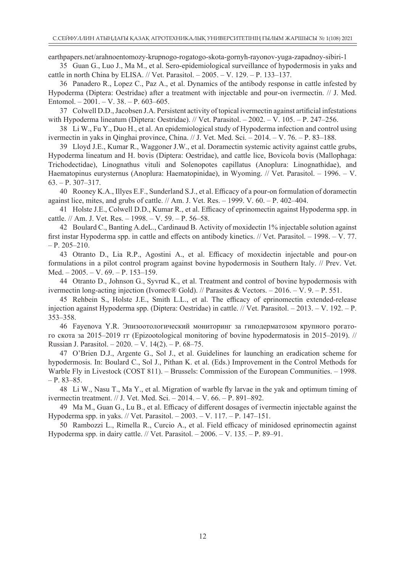earthpapers.net/arahnoentomozy-krupnogo-rogatogo-skota-gornyh-rayonov-yuga-zapadnoy-sibiri-1

35 Guan G., Luo J., Ma M., et al. Sero-epidemiological surveillance of hypodermosis in yaks and cattle in north China by ELISA. // Vet. Parasitol. – 2005. – V. 129. – P. 133–137.

36 Panadero R., Lopez C., Paz A., et al. Dynamics of the antibody response in cattle infested by Hypoderma (Diptera: Oestridae) after a treatment with injectable and pour-on ivermectin. // J. Med. Entomol. – 2001. – V. 38. – P. 603–605.

37 Colwell D.D., Jacobsen J.A. Persistent activity of topical ivermectin against artificial infestations with Hypoderma lineatum (Diptera: Oestridae). // Vet. Parasitol. – 2002. – V. 105. – P. 247–256.

38 Li W., Fu Y., Duo H., et al. An epidemiological study of Hypoderma infection and control using ivermectin in yaks in Qinghai province, China. // J. Vet. Med. Sci. – 2014. – V. 76. – P. 83–188.

39 Lloyd J.E., Kumar R., Waggoner J.W., et al. Doramectin systemic activity against cattle grubs, Hypoderma lineatum and H. bovis (Diptera: Oestridae), and cattle lice, Bovicola bovis (Mallophaga: Trichodectidae), Linognathus vituli and Solenopotes capillatus (Anoplura: Linognathidae), and Haematopinus eurysternus (Anoplura: Haematopinidae), in Wyoming. // Vet. Parasitol. – 1996. – V. 63. – P. 307–317.

40 Rooney K.A., Illyes E.F., Sunderland S.J., et al. Efficacy of a pour-on formulation of doramectin against lice, mites, and grubs of cattle. // Am. J. Vet. Res.  $-$  1999. V. 60.  $-$  P. 402–404.

41 Holste J.E., Colwell D.D., Kumar R., et al. Efficacy of eprinomectin against Hypoderma spp. in cattle. // Am. J. Vet. Res. – 1998. – V. 59. – P. 56–58.

42 Boulard C., Banting A.deL., Cardinaud B. Activity of moxidectin 1% injectable solution against first instar Hypoderma spp. in cattle and effects on antibody kinetics. // Vet. Parasitol. – 1998. – V. 77.  $- P. 205 - 210.$ 

43 Otranto D., Lia R.P., Agostini A., et al. Efficacy of moxidectin injectable and pour-on formulations in a pilot control program against bovine hypodermosis in Southern Italy. // Prev. Vet. Med. – 2005. – V. 69. – P. 153–159.

44 Otranto D., Johnson G., Syvrud K., et al. Treatment and control of bovine hypodermosis with ivermectin long-acting injection (Ivomec® Gold). // Parasites & Vectors.  $-2016$ . – V. 9. – P. 551.

45 Rehbein S., Holste J.E., Smith L.L., et al. The efficacy of eprinomectin extended-release injection against Hypoderma spp. (Diptera: Oestridae) in cattle. // Vet. Parasitol. – 2013. – V. 192. – P. 353–358.

46 Fayenova Y.R. Эпизоотологический мониторинг за гиподерматозом крупного рогатого скота за 2015–2019 гг (Epizootological monitoring of bovine hypodermatosis in 2015–2019). // Russian J. Parasitol. – 2020. – V. 14(2). – P. 68–75.

47 O'Brien D.J., Argente G., Sol J., et al. Guidelines for launching an eradication scheme for hypodermosis. In: Boulard C., Sol J., Pithan K. et al. (Eds.) Improvement in the Control Methods for Warble Fly in Livestock (COST 811). – Brussels: Commission of the European Communities. – 1998.  $- P. 83 - 85.$ 

48 Li W., Nasu T., Ma Y., et al. Migration of warble fly larvae in the yak and optimum timing of ivermectin treatment. // J. Vet. Med. Sci. – 2014. – V. 66. – P. 891–892.

49 Ma M., Guan G., Lu B., et al. Efficacy of different dosages of ivermectin injectable against the Hypoderma spp. in yaks. // Vet. Parasitol. – 2003. – V. 117. – P. 147–151.

50 Rambozzi L., Rimella R., Curcio A., et al. Field efficacy of minidosed eprinomectin against Hypoderma spp. in dairy cattle. // Vet. Parasitol. – 2006. – V. 135. – P. 89–91.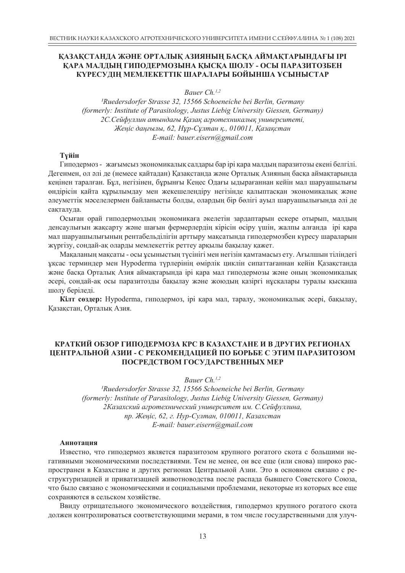#### **ҚАЗАҚСТАНДА ЖӘНЕ ОРТАЛЫҚ АЗИЯНЫҢ БАСҚА АЙМАҚТАРЫНДАҒЫ ІРІ ҚАРА МАЛДЫҢ ГИПОДЕРМОЗЫНА ҚЫСҚА ШОЛУ - ОСЫ ПАРАЗИТОЗБЕН КҮРЕСУДІҢ МЕМЛЕКЕТТІК ШАРАЛАРЫ БОЙЫНША ҰСЫНЫСТАР**

*Bauer Ch.1,2*

*1Ruedersdorfer Strasse 32, 15566 Schoeneiche bei Berlin, Germany (formerly: Institute of Parasitology, Justus Liebig University Giessen, Germany) 2С.Сейфуллин атындағы Қазақ агротехникалық университеті, Жеңіс даңғылы, 62, Нұр-Сұлтан қ., 010011, Қазақстан E-mail: bauer.eisern@gmail.com*

#### **Түйін**

Гиподермоз - жағымсыз экономикалық салдары бар ірі қара малдың паразитозы екені белгілі. Дегенмен, ол әлі де (немесе қайтадан) Қазақстанда және Орталық Азияның басқа аймақтарында кеңінен таралған. Бұл, негізінен, бұрынғы Кеңес Одағы ыдырағаннан кейін мал шаруашылығы өндірісін қайта құрылымдау мен жекешелендіру негізінде қалыптасқан экономикалық және әлеуметтік мәселелермен байланысты болды, олардың бір бөлігі ауыл шаруашылығында әлі де сақталуда.

Осыған орай гиподермоздың экономикаға әкелетін зардаптарын ескере отырып, малдың денсаулығын жақсарту және шағын фермерлердің кірісін өсіру үшін, жалпы алғанда ірі қара мал шаруашылығының рентабельділігін арттыру мақсатында гиподермозбен күресу шараларын жүргізу, сондай-ақ оларды мемлекеттік реттеу арқылы бақылау қажет.

Мақаланың мақсаты - осы ұсыныстың түсінігі мен негізін қамтамасыз ету. Ағылшын тіліндегі ұқсас терминдер мен Hypoderma түрлерінің өмірлік циклін сипаттағаннан кейін Қазақстанда және басқа Орталық Азия аймақтарында ірі қара мал гиподермозы және оның экономикалық әсері, сондай-ақ осы паразитозды бақылау және жоюдың қазіргі нұсқалары туралы қысқаша шолу беріледі.

**Кілт сөздер:** Hypoderma, гиподермоз, ірі қара мал, таралу, экономикалық әсері, бақылау, Қазақстан, Орталық Азия.

#### **КРАТКИЙ ОБЗОР ГИПОДЕРМОЗА КРС В КАЗАХСТАНЕ И В ДРУГИХ РЕГИОНАХ ЦЕНТРАЛЬНОЙ АЗИИ - С РЕКОМЕНДАЦИЕЙ ПО БОРЬБЕ С ЭТИМ ПАРАЗИТОЗОМ ПОСРЕДСТВОМ ГОСУДАРСТВЕННЫХ МЕР**

*Bauer Ch.1,2*

*1Ruedersdorfer Strasse 32, 15566 Schoeneiche bei Berlin, Germany (formerly: Institute of Parasitology, Justus Liebig University Giessen, Germany) 2Казахский агротехнический университет им. С.Сейфуллина, пр. Жеңіс, 62, г. Нур-Султан, 010011, Казахстан E-mail: bauer.eisern@gmail.com*

#### **Аннотация**

Известно, что гиподермоз является паразитозом крупного рогатого скота с большими негативными экономическими последствиями. Тем не менее, он все еще (или снова) широко распространен в Казахстане и других регионах Центральной Азии. Это в основном связано с реструктуризацией и приватизацией животноводства после распада бывшего Советского Союза, что было связано с экономическими и социальными проблемами, некоторые из которых все еще сохраняются в сельском хозяйстве.

Bвиду отрицательного экономического воздействия, гиподермоз крупного рогатого скота должен контролироваться соответствующими мерами, в том числе государственными для улуч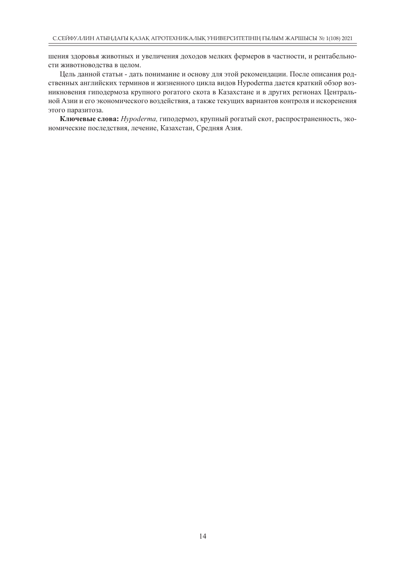шения здоровья животных и увеличения доходов мелких фермеров в частности, и рентабельности животноводства в целом.

Цель данной статьи - дать понимание и основу для этой рекомендации. После описания родственных английских терминов и жизненного цикла видов Hypoderma дается краткий обзор возникновения гиподермоза крупного рогатого скота в Казахстане и в других регионах Центральной Азии и его экономического воздействия, а также текущих вариантов контроля и искоренения этого паразитоза.

**Ключевые слова:** *Hypoderma,* гиподермоз, крупный рогатый скот, распространенность, экономические последствия, лечение, Казахстан, Средняя Азия.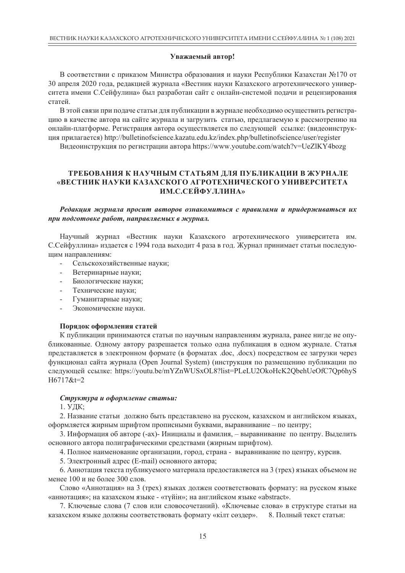#### **Уважаемый автор!**

В соответствии с приказом Министра образования и науки Республики Казахстан №170 от 30 апреля 2020 года, редакцией журнала «Вестник науки Казахского агротехнического университета имени С.Сейфулина» был разработан сайт с онлайн-системой подачи и рецензирования статей.

В этой связи при подаче статьи для публикации в журнале необходимо осуществить регистрацию в качестве автора на сайте журнала и загрузить статью, предлагаемую к рассмотрению на онлайн-платформе. Регистрация автора осуществляется по следующей ссылке: (видеоинструкция прилагается) http://bulletinofscience.kazatu.edu.kz/index.php/bulletinofscience/user/register

Видеоинструкция по регистрации автора https://www.youtube.com/watch?v=UeZlKY4bozg

#### **ТРЕБОВАНИЯ К НАУЧНЫМ СТАТЬЯМ ДЛЯ ПУБЛИКАЦИИ В ЖУРНАЛЕ «ВЕСТНИК НАУКИ КАЗАХСКОГО АГРОТЕХНИЧЕСКОГО УНИВЕРСИТЕТА ИМ.С.СЕЙФУЛЛИНА»**

*Редакция журнала просит авторов ознакомиться с правилами и придерживаться их при подготовке работ, направляемых в журнал.* 

Научный журнал «Вестник науки Казахского агротехнического университета им. С.Сейфуллина» издается с 1994 года выходит 4 раза в год. Журнал принимает статьи последующим направлениям:

- Сельскохозяйственные науки;
- Ветеринарные науки;
- Биологические науки;
- Технические науки;
- Гуманитарные науки;
- Экономические науки.

#### **Порядок оформления статей**

К публикации принимаются статьи по научным направлениям журнала, ранее нигде не опубликованные. Одному автору разрешается только одна публикация в одном журнале. Статья представляется в электронном формате (в форматах .doc, .docx) посредством ее загрузки через функционал сайта журнала (Open Journal System) (инструкция по размещению публикации по следующей ссылке: https://youtu.be/mYZnWUSxOL8?list=PLeLU2OkoHcK2QbehUeOfC7Qp6hyS H6717&t=2

#### *Структура и оформление статьи:*

1. УДК;

2. Название статьи должно быть представлено на русском, казахском и английском языках, оформляется жирным шрифтом прописными буквами, выравнивание – по центру;

3. Информация об авторе (-ах)- Инициалы и фамилия, – выравнивание по центру. Выделить основного автора полиграфическими средствами (жирным шрифтом).

4. Полное наименование организации, город, страна - выравнивание по центру, курсив.

5. Электронный адрес (E-mail) основного автора;

6. Аннотация текста публикуемого материала предоставляется на 3 (трех) языках объемом не менее 100 и не более 300 слов.

Слово «Аннотация» на 3 (трех) языках должен соответствовать формату: на русском языке «аннотация»; на казахском языке - «түйін»; на английском языке «abstract».

7. Ключевые слова (7 слов или словосочетаний). «Ключевые слова» в структуре статьи на казахском языке должны соответствовать формату «кілт сөздер». 8. Полный текст статьи: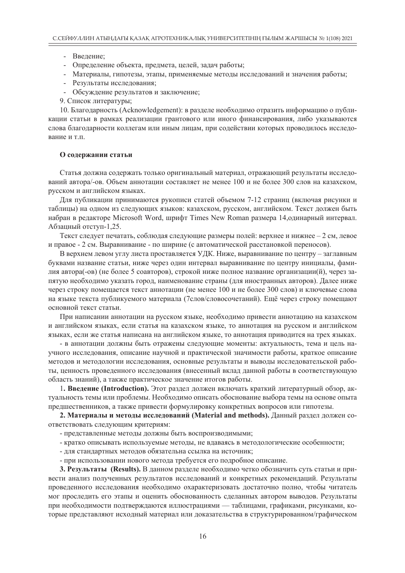- Введение;
- Определение объекта, предмета, целей, задач работы;
- Материалы, гипотезы, этапы, применяемые методы исследований и значения работы;
- Результаты исследования;
- Обсуждение результатов и заключение;
- 9. Список литературы;

10. Благодарность (Acknowledgement): в разделе необходимо отразить информацию о публикации статьи в рамках реализации грантового или иного финансирования, либо указываются слова благодарности коллегам или иным лицам, при содействии которых проводилось исследование и т.п.

#### **О содержании статьи**

Статья должна содержать только оригинальный материал, отражающий результаты исследований автора/-ов. Объем аннотации составляет не менее 100 и не более 300 слов на казахском, русском и английском языках.

Для публикации принимаются рукописи статей объемом 7-12 страниц (включая рисунки и таблицы) на одном из следующих языков: казахском, русском, английском. Текст должен быть набран в редакторе Microsoft Word, шрифт Times New Roman размера 14,одинарный интервал. Абзацный отступ-1,25.

Текст следует печатать, соблюдая следующие размеры полей: верхнее и нижнее  $-2$  см, левое и правое - 2 см. Выравнивание - по ширине (с автоматической расстановкой переносов).

В верхнем левом углу листа проставляется УДК. Ниже, выравнивание по центру – заглавным буквами название статьи, ниже через один интервал выравнивание по центру инициалы, фамилия автора(-ов) (не более 5 соавторов), строкой ниже полное название организации(й), через запятую необходимо указать город, наименование страны (для иностранных авторов). Далее ниже через строку помещается текст аннотации (не менее 100 и не более 300 слов) и ключевые слова на языке текста публикуемого материала (7слов/словосочетаний). Ещё через строку помещают основной текст статьи.

При написании аннотации на русском языке, необходимо привести аннотацию на казахском и английском языках, если статья на казахском языке, то аннотация на русском и английском языках, если же статья написана на английском языке, то аннотация приводится на трех языках.

- в аннотации должны быть отражены следующие моменты: актуальность, тема и цель научного исследования, описание научной и практической значимости работы, краткое описание методов и методологии исследования, основные результаты и выводы исследовательской работы, ценность проведенного исследования (внесенный вклад данной работы в соответствующую область знаний), а также практическое значение итогов работы.

1**. Введение (Introduction).** Этот раздел должен включать краткий литературный обзор, актуальность темы или проблемы. Необходимо описать обоснование выбора темы на основе опыта предшественников, а также привести формулировку конкретных вопросов или гипотезы.

**2. Материалы и методы исследований (Material and methods).** Данный раздел должен соответствовать следующим критериям:

- представленные методы должны быть воспроизводимыми;
- кратко описывать используемые методы, не вдаваясь в методологические особенности;
- для стандартных методов обязательна ссылка на источник;
- при использовании нового метода требуется его подробное описание.

**3. Результаты (Results).** В данном разделе необходимо четко обозначить суть статьи и привести анализ полученных результатов исследований и конкретных рекомендаций. Результаты проведенного исследования необходимо охарактеризовать достаточно полно, чтобы читатель мог проследить его этапы и оценить обоснованность сделанных автором выводов. Результаты при необходимости подтверждаются иллюстрациями — таблицами, графиками, рисунками, которые представляют исходный материал или доказательства в структурированном/графическом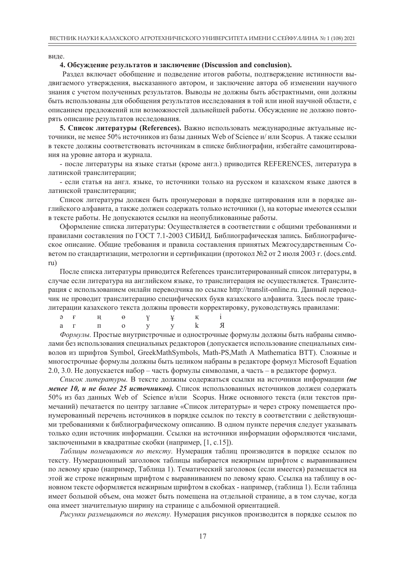виде.

#### **4. Обсуждение результатов и заключение (Discussion and conclusion).**

Раздел включает обобщение и подведение итогов работы, подтверждение истинности выдвигаемого утверждения, высказанного автором, и заключение автора об изменении научного знания с учетом полученных результатов. Выводы не должны быть абстрактными, они должны быть использованы для обобщения результатов исследования в той или иной научной области, с описанием предложений или возможностей дальнейшей работы. Обсуждение не должно повторять описание результатов исследования.

**5. Список литературы (References).** Важно использовать международные актуальные источники, не менее 50% источников из базы данных Web of Science и/ или Scopus. А также ссылки в тексте должны соответствовать источникам в списке библиографии, избегайте самоцитирования на уровне автора и журнала.

- после литературы на языке статьи (кроме англ.) приводится REFERENCES, литература в латинской транслитерации;

- если статья на англ. языке, то источники только на русском и казахском языке даются в латинской транслитерации;

Список литературы должен быть пронумерован в порядке цитирования или в порядке английского алфавита, а также должен содержать только источники (), на которые имеются ссылки в тексте работы. Не допускаются ссылки на неопубликованные работы.

Оформление списка литературы: Осуществляется в соответствии с общими требованиями и правилами составления по ГОСТ 7.1-2003 СИБИД. Библиографическая запись. Библиографическое описание. Общие требования и правила составления принятых Межгосударственным Советом по стандартизации, метрологии и сертификации (протокол №2 от 2 июля 2003 г. (docs.cntd. ru)

После списка литературы приводится References транслитерированный список литературы, в случае если литература на английском языке, то транслитерация не осуществляется. Транслитерация с использованием онлайн переводчика по ссылке http://translit-online.ru. Данный переводчик не проводит транслитерацию специфических букв казахского алфавита. Здесь после транслитерации казахского текста должны провести корректировку, руководствуясь правилами:

|  |  | $\Theta$ F H $\Theta$ Y $\gamma$ K i |  |
|--|--|--------------------------------------|--|
|  |  | ar no y y k <mark>A</mark>           |  |

*Формулы.* Простые внутристрочные и однострочные формулы должны быть набраны символами без использования специальных редакторов (допускается использование специальных символов из шрифтов Symbol, GreekMathSymbols, Math-PS,Math A Mathematica BTT). Сложные и многострочные формулы должны быть целиком набраны в редакторе формул Microsoft Equation 2.0, 3.0. Не допускается набор – часть формулы символами, а часть – в редакторе формул.

*Список литературы.* В тексте должны содержаться ссылки на источники информации *(не менее 10, и не более 25 источников).* Список использованных источников должен содержать 50% из баз данных Web of Science и/или Scopus. Ниже основного текста (или текстов примечаний) печатается по центру заглавие «Список литературы» и через строку помещается пронумерованный перечень источников в порядке ссылок по тексту в соответствии с действующими требованиями к библиографическому описанию. В одном пункте перечня следует указывать только один источник информации. Ссылки на источники информации оформляются числами, заключенными в квадратные скобки (например, [1, с.15]).

*Таблицы помещаются по тексту.* Нумерация таблиц производится в порядке ссылок по тексту. Нумерационный заголовок таблицы набирается нежирным шрифтом с выравниванием по левому краю (например, Таблица 1). Тематический заголовок (если имеется) размещается на этой же строке нежирным шрифтом с выравниванием по левому краю. Ссылка на таблицу в основном тексте оформляется нежирным шрифтом в скобках - например, (таблица 1). Если таблица имеет большой объем, она может быть помещена на отдельной странице, а в том случае, когда она имеет значительную ширину на странице с альбомной ориентацией.

*Рисунки размещаются по тексту.* Нумерация рисунков производится в порядке ссылок по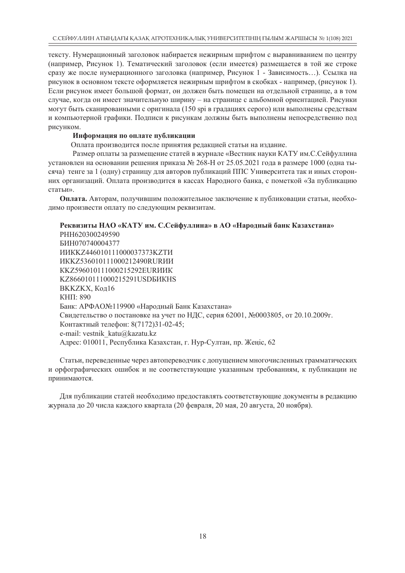тексту. Нумерационный заголовок набирается нежирным шрифтом с выравниванием по центру (например, Рисунок 1). Тематический заголовок (если имеется) размещается в той же строке сразу же после нумерационного заголовка (например, Рисунок 1 - Зависимость…). Ссылка на рисунок в основном тексте оформляется нежирным шрифтом в скобках - например, (рисунок 1). Если рисунок имеет большой формат, он должен быть помещен на отдельной странице, а в том случае, когда он имеет значительную ширину – на странице с альбомной ориентацией. Рисунки могут быть сканированными с оригинала (150 spi в градациях серого) или выполнены средствам и компьютерной графики. Подписи к рисункам должны быть выполнены непосредственно под рисунком.

#### **Информация по оплате публикации**

Оплата производится после принятия редакцией статьи на издание.

Размер оплаты за размещение статей в журнале «Вестник науки КАТУ им.С.Сейфуллина установлен на основании решения приказа № 268-H от 25.05.2021 года в размере 1000 (одна тысяча) тенге за 1 (одну) страницу для авторов публикаций ППС Университета так и иных сторонних организаций. Оплата производится в кассах Народного банка, с пометкой «За публикацию статьи».

**Оплата.** Авторам, получившим положительное заключение к публиковации статьи, необходимо произвести оплату по следующим реквизитам.

#### **Реквизиты НАО «КАТУ им. С.Сейфуллина» в АО «Народный банк Казахстана»**

РНН620300249590 БИН070740004377 ИИКKZ446010111000037373KZTИ ИКKZ536010111000212490RURИИ КKZ596010111000215292EURИИК KZ866010111000215291USDБИКHS BKKZKX, Код16 КНП: 890 Банк: АРФАО№119900 «Народный Банк Казахстана» Свидетельство о постановке на учет по НДС, серия 62001, №0003805, от 20.10.2009г. Контактный телефон: 8(7172)31-02-45; e-mail: vestnik\_katu@kazatu.kz Адрес: 010011, Республика Казахстан, г. Нур-Султан, пр. Жеңіс, 62

Статьи, переведенные через автопереводчик с допущением многочисленных грамматических и орфографических ошибок и не соответствующие указанным требованиям, к публикации не принимаются.

Для публикации статей необходимо предоставлять соответствующие документы в редакцию журнала до 20 числа каждого квартала (20 февраля, 20 мая, 20 августа, 20 ноября).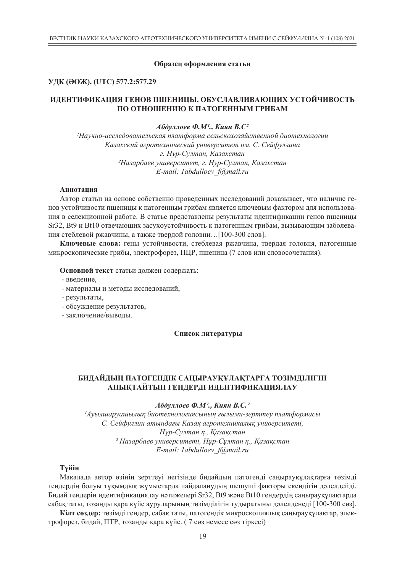#### **Образец оформления статьи**

#### **УДК (ӘОЖ), (UTC) 577.2:577.29**

#### **ИДЕНТИФИКАЦИЯ ГЕНОВ ПШЕНИЦЫ, ОБУСЛАВЛИВАЮЩИХ УСТОЙЧИВОСТЬ ПО ОТНОШЕНИЮ К ПАТОГЕННЫМ ГРИБАМ**

#### *Абдуллоев Ф.М1., Киян В.С2*

*1Научно-исследовательская платформа сельскохозяйственной биотехнологии Казахский агротехнический университет им. С. Сейфуллина г. Нур-Султан, Казахстан 2Назарбаев университет, г. Нур-Султан, Казахстан E-mail: 1abdulloev\_f@mail.ru*

#### **Аннотация**

Автор статьи на основе собственно проведенных исследований доказывает, что наличие генов устойчивости пшеницы к патогенным грибам является ключевым фактором для использования в селекционной работе. В статье представлены результаты идентификации генов пшеницы Sr32, Bt9 и Bt10 отвечающих засухоустойчивость к патогенным грибам, вызывающим заболевания стеблевой ржавчины, а также твердой головни…[100-300 слов].

**Ключевые слова:** гены устойчивости, стеблевая ржавчина, твердая головня, патогенные микроскопические грибы, электрофорез, ПЦР, пшеница (7 слов или словосочетания).

**Основной текст** статьи должен содержать:

- введение,
- материалы и методы исследований,
- результаты,
- обсуждение результатов,
- заключение/выводы.

#### **Список литературы**

#### **БИДАЙДЫҢ ПАТОГЕНДІК САҢЫРАУҚҰЛАҚТАРҒА ТӨЗІМДІЛІГІН АНЫҚТАЙТЫН ГЕНДЕРДІ ИДЕНТИФИКАЦИЯЛАУ**

#### *Абдуллоев Ф.М1., Киян В.С.2*

*1Ауылшаруашылық биотехнологиясының ғылыми-зерттеу платформасы С. Сейфуллин атындағы Қазақ агротехникалық университеті, Нұр-Султан қ., Қазақстан 2 Назарбаев университеті, Нұр-Сұлтан қ., Қазақстан E-mail: 1abdulloev\_f@mail.ru*

#### **Түйін**

Мақалада автор өзінің зерттеуі негізінде бидайдың патогенді саңырауқұлақтарға төзімді гендердің болуы тұқымдық жұмыстарда пайдаланудың шешуші факторы екендігін дәлелдейді. Бидай гендерін идентификациялау нәтижелері Sr32, Bt9 және Bt10 гендердің саңырауқұлақтарда сабақ таты, тозаңды қара күйе ауруларының төзімділігін тудыратыны дәлелденеді [100-300 сөз].

**Кілт сөздер:** төзімді гендер, сабақ таты, патогендік микроскопиялық саңырауқұлақтар, электрофорез, бидай, ПТР, тозаңды қара күйе. ( 7 сөз немесе сөз тіркесі)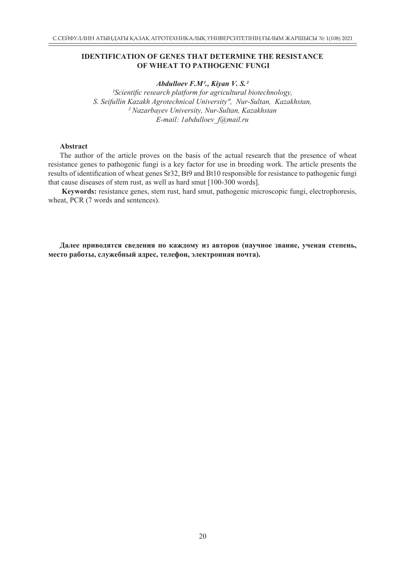#### **IDENTIFICATION OF GENES THAT DETERMINE THE RESISTANCE OF WHEAT TO PATHOGENIC FUNGI**

#### *Abdulloev F.M1., Kiyan V. S.2*

*1Scientific research platform for agricultural biotechnology, S. Seifullin Kazakh Agrotechnical University", Nur-Sultan, Kazakhstan, 2 Nazarbayev University, Nur-Sultan, Kazakhstan E-mail: 1abdulloev\_f@mail.ru*

#### **Abstract**

The author of the article proves on the basis of the actual research that the presence of wheat resistance genes to pathogenic fungi is a key factor for use in breeding work. The article presents the results of identification of wheat genes Sr32, Bt9 and Bt10 responsible for resistance to pathogenic fungi that cause diseases of stem rust, as well as hard smut [100-300 words].

 **Keywords:** resistance genes, stem rust, hard smut, pathogenic microscopic fungi, electrophoresis, wheat, PCR  $(7 \text{ words and sentences})$ .

**Далее приводятся сведения по каждому из авторов (научное звание, ученая степень, место работы, служебный адрес, телефон, электронная почта).**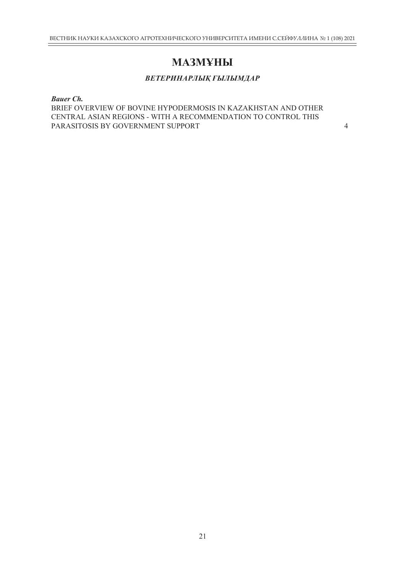### **МАЗМҰНЫ**

#### *ВЕТЕРИНАРЛЫҚ ҒЫЛЫМДАР*

#### *Bauer Ch.*

BRIEF OVERVIEW OF BOVINE HYPODERMOSIS IN KAZAKHSTAN AND OTHER CENTRAL ASIAN REGIONS - WITH A RECOMMENDATION TO CONTROL THIS PARASITOSIS BY GOVERNMENT SUPPORT 4